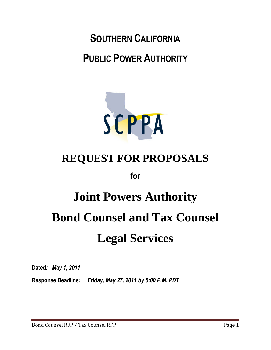**SOUTHERN CALIFORNIA PUBLIC POWER AUTHORITY**



# **REQUEST FOR PROPOSALS**

**for**

# **Joint Powers Authority Bond Counsel and Tax Counsel Legal Services**

**Dated***: May 1, 2011*

**Response Deadline***: Friday, May 27, 2011 by 5:00 P.M. PDT*

Bond Counsel RFP / Tax Counsel RFP Page 1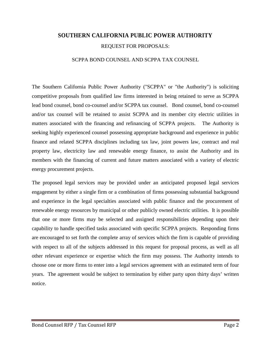# **SOUTHERN CALIFORNIA PUBLIC POWER AUTHORITY**

#### REQUEST FOR PROPOSALS:

#### SCPPA BOND COUNSEL AND SCPPA TAX COUNSEL

The Southern California Public Power Authority ("SCPPA" or "the Authority") is soliciting competitive proposals from qualified law firms interested in being retained to serve as SCPPA lead bond counsel, bond co-counsel and/or SCPPA tax counsel. Bond counsel, bond co-counsel and/or tax counsel will be retained to assist SCPPA and its member city electric utilities in matters associated with the financing and refinancing of SCPPA projects. The Authority is seeking highly experienced counsel possessing appropriate background and experience in public finance and related SCPPA disciplines including tax law, joint powers law, contract and real property law, electricity law and renewable energy finance, to assist the Authority and its members with the financing of current and future matters associated with a variety of electric energy procurement projects.

The proposed legal services may be provided under an anticipated proposed legal services engagement by either a single firm or a combination of firms possessing substantial background and experience in the legal specialties associated with public finance and the procurement of renewable energy resources by municipal or other publicly owned electric utilities. It is possible that one or more firms may be selected and assigned responsibilities depending upon their capability to handle specified tasks associated with specific SCPPA projects. Responding firms are encouraged to set forth the complete array of services which the firm is capable of providing with respect to all of the subjects addressed in this request for proposal process, as well as all other relevant experience or expertise which the firm may possess. The Authority intends to choose one or more firms to enter into a legal services agreement with an estimated term of four years. The agreement would be subject to termination by either party upon thirty days' written notice.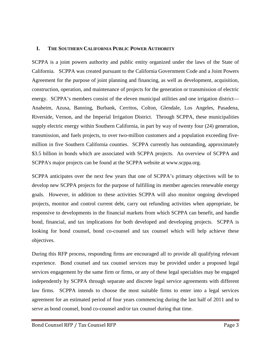# **I. THE SOUTHERN CALIFORNIA PUBLIC POWER AUTHORITY**

SCPPA is a joint powers authority and public entity organized under the laws of the State of California. SCPPA was created pursuant to the California Government Code and a Joint Powers Agreement for the purpose of joint planning and financing, as well as development, acquisition, construction, operation, and maintenance of projects for the generation or transmission of electric energy. SCPPA's members consist of the eleven municipal utilities and one irrigation district— Anaheim, Azusa, Banning, Burbank, Cerritos, Colton, Glendale, Los Angeles, Pasadena, Riverside, Vernon, and the Imperial Irrigation District. Through SCPPA, these municipalities supply electric energy within Southern California, in part by way of twenty four (24) generation, transmission, and fuels projects, to over two-million customers and a population exceeding fivemillion in five Southern California counties. SCPPA currently has outstanding, approximately \$3.5 billion in bonds which are associated with SCPPA projects. An overview of SCPPA and SCPPA's major projects can be found at the SCPPA website at www.scppa.org.

SCPPA anticipates over the next few years that one of SCPPA's primary objectives will be to develop new SCPPA projects for the purpose of fulfilling its member agencies renewable energy goals. However, in addition to these activities SCPPA will also monitor ongoing developed projects, monitor and control current debt, carry out refunding activities when appropriate, be responsive to developments in the financial markets from which SCPPA can benefit, and handle bond, financial, and tax implications for both developed and developing projects. SCPPA is looking for bond counsel, bond co-counsel and tax counsel which will help achieve these objectives.

During this RFP process, responding firms are encouraged all to provide all qualifying relevant experience. Bond counsel and tax counsel services may be provided under a proposed legal services engagement by the same firm or firms, or any of these legal specialties may be engaged independently by SCPPA through separate and discrete legal service agreements with different law firms. SCPPA intends to choose the most suitable firms to enter into a legal services agreement for an estimated period of four years commencing during the last half of 2011 and to serve as bond counsel, bond co-counsel and/or tax counsel during that time.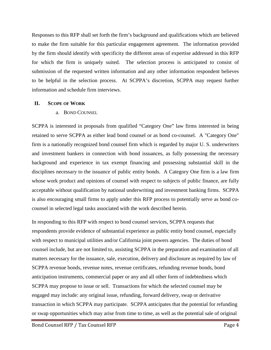Responses to this RFP shall set forth the firm's background and qualifications which are believed to make the firm suitable for this particular engagement agreement. The information provided by the firm should identify with specificity the different areas of expertise addressed in this RFP for which the firm is uniquely suited. The selection process is anticipated to consist of submission of the requested written information and any other information respondent believes to be helpful in the selection process. At SCPPA's discretion, SCPPA may request further information and schedule firm interviews.

# **II. SCOPE OF WORK**

# a. BOND COUNSEL

SCPPA is interested in proposals from qualified "Category One" law firms interested in being retained to serve SCPPA as either lead bond counsel or as bond co-counsel. A "Category One" firm is a nationally recognized bond counsel firm which is regarded by major U. S. underwriters and investment bankers in connection with bond issuances, as fully possessing the necessary background and experience in tax exempt financing and possessing substantial skill in the disciplines necessary to the issuance of public entity bonds. A Category One firm is a law firm whose work product and opinions of counsel with respect to subjects of public finance, are fully acceptable without qualification by national underwriting and investment banking firms. SCPPA is also encouraging small firms to apply under this RFP process to potentially serve as bond cocounsel in selected legal tasks associated with the work described herein.

In responding to this RFP with respect to bond counsel services, SCPPA requests that respondents provide evidence of substantial experience as public entity bond counsel, especially with respect to municipal utilities and/or California joint powers agencies. The duties of bond counsel include, but are not limited to, assisting SCPPA in the preparation and examination of all matters necessary for the issuance, sale, execution, delivery and disclosure as required by law of SCPPA revenue bonds, revenue notes, revenue certificates, refunding revenue bonds, bond anticipation instruments, commercial paper or any and all other form of indebtedness which SCPPA may propose to issue or sell. Transactions for which the selected counsel may be engaged may include: any original issue, refunding, forward delivery, swap or derivative transaction in which SCPPA may participate. SCPPA anticipates that the potential for refunding or swap opportunities which may arise from time to time, as well as the potential sale of original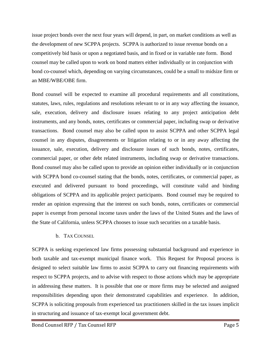issue project bonds over the next four years will depend, in part, on market conditions as well as the development of new SCPPA projects. SCPPA is authorized to issue revenue bonds on a competitively bid basis or upon a negotiated basis, and in fixed or in variable rate form. Bond counsel may be called upon to work on bond matters either individually or in conjunction with bond co-counsel which, depending on varying circumstances, could be a small to midsize firm or an MBE/WBE/OBE firm.

Bond counsel will be expected to examine all procedural requirements and all constitutions, statutes, laws, rules, regulations and resolutions relevant to or in any way affecting the issuance, sale, execution, delivery and disclosure issues relating to any project anticipation debt instruments, and any bonds, notes, certificates or commercial paper, including swap or derivative transactions. Bond counsel may also be called upon to assist SCPPA and other SCPPA legal counsel in any disputes, disagreements or litigation relating to or in any away affecting the issuance, sale, execution, delivery and disclosure issues of such bonds, notes, certificates, commercial paper, or other debt related instruments, including swap or derivative transactions. Bond counsel may also be called upon to provide an opinion either individually or in conjunction with SCPPA bond co-counsel stating that the bonds, notes, certificates, or commercial paper, as executed and delivered pursuant to bond proceedings, will constitute valid and binding obligations of SCPPA and its applicable project participants. Bond counsel may be required to render an opinion expressing that the interest on such bonds, notes, certificates or commercial paper is exempt from personal income taxes under the laws of the United States and the laws of the State of California, unless SCPPA chooses to issue such securities on a taxable basis.

b. TAX COUNSEL

SCPPA is seeking experienced law firms possessing substantial background and experience in both taxable and tax-exempt municipal finance work. This Request for Proposal process is designed to select suitable law firms to assist SCPPA to carry out financing requirements with respect to SCPPA projects, and to advise with respect to those actions which may be appropriate in addressing these matters. It is possible that one or more firms may be selected and assigned responsibilities depending upon their demonstrated capabilities and experience. In addition, SCPPA is soliciting proposals from experienced tax practitioners skilled in the tax issues implicit in structuring and issuance of tax-exempt local government debt.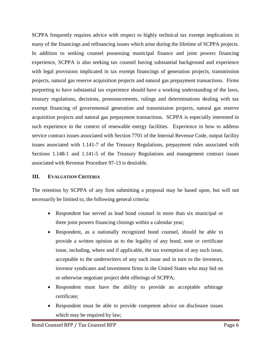SCPPA frequently requires advice with respect to highly technical tax exempt implications in many of the financings and refinancing issues which arise during the lifetime of SCPPA projects. In addition to seeking counsel possessing municipal finance and joint powers financing experience, SCPPA is also seeking tax counsel having substantial background and experience with legal provisions implicated in tax exempt financings of generation projects, transmission projects, natural gas reserve acquisition projects and natural gas prepayment transactions. Firms purporting to have substantial tax experience should have a working understanding of the laws, treasury regulations, decisions, pronouncements, rulings and determinations dealing with tax exempt financing of governmental generation and transmission projects, natural gas reserve acquisition projects and natural gas prepayment transactions. SCPPA is especially interested in such experience in the context of renewable energy facilities. Experience in how to address service contract issues associated with Section 7701 of the Internal Revenue Code, output facility issues associated with 1.141-7 of the Treasury Regulations, prepayment rules associated with Sections 1.148-1 and 1.141-5 of the Treasury Regulations and management contract issues associated with Revenue Procedure 97-13 is desirable.

# **III. EVALUATION CRITERIA**

The retention by SCPPA of any firm submitting a proposal may be based upon, but will not necessarily be limited to, the following general criteria:

- Respondent has served as lead bond counsel in more than six municipal or three joint powers financing closings within a calendar year;
- Respondent, as a nationally recognized bond counsel, should be able to provide a written opinion as to the legality of any bond, note or certificate issue, including, where and if applicable, the tax exemption of any such issue, acceptable to the underwriters of any such issue and in turn to the investors, investor syndicates and investment firms in the United States who may bid on or otherwise negotiate project debt offerings of SCPPA;
- Respondent must have the ability to provide an acceptable arbitrage certificate;
- Respondent must be able to provide competent advice on disclosure issues which may be required by law;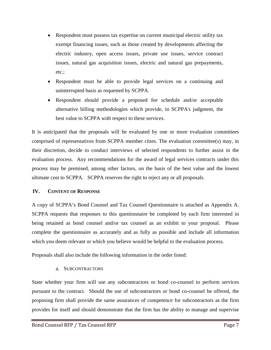- Respondent must possess tax expertise on current municipal electric utility tax exempt financing issues, such as those created by developments affecting the electric industry, open access issues, private use issues, service contract issues, natural gas acquisition issues, electric and natural gas prepayments, etc.;
- Respondent must be able to provide legal services on a continuing and uninterrupted basis as requested by SCPPA.
- Respondent should provide a proposed fee schedule and/or acceptable alternative billing methodologies which provide, in SCPPA's judgment, the best value to SCPPA with respect to these services.

It is anticipated that the proposals will be evaluated by one or more evaluation committees comprised of representatives from SCPPA member cities. The evaluation committee(s) may, in their discretion, decide to conduct interviews of selected respondents to further assist in the evaluation process. Any recommendations for the award of legal services contracts under this process may be premised, among other factors, on the basis of the best value and the lowest ultimate cost to SCPPA. SCPPA reserves the right to reject any or all proposals.

# **IV. CONTENT OF RESPONSE**

A copy of SCPPA's Bond Counsel and Tax Counsel Questionnaire is attached as Appendix A. SCPPA requests that responses to this questionnaire be completed by each firm interested in being retained as bond counsel and/or tax counsel as an exhibit to your proposal. Please complete the questionnaire as accurately and as fully as possible and include all information which you deem relevant or which you believe would be helpful to the evaluation process.

Proposals shall also include the following information in the order listed:

# a. SUBCONTRACTORS

State whether your firm will use any subcontractors or bond co-counsel to perform services pursuant to the contract. Should the use of subcontractors or bond co-counsel be offered, the proposing firm shall provide the same assurances of competence for subcontractors as the firm provides for itself and should demonstrate that the firm has the ability to manage and supervise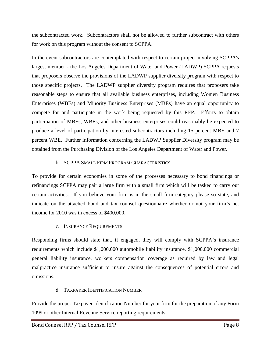the subcontracted work. Subcontractors shall not be allowed to further subcontract with others for work on this program without the consent to SCPPA.

In the event subcontractors are contemplated with respect to certain project involving SCPPA's largest member - the Los Angeles Department of Water and Power (LADWP) SCPPA requests that proposers observe the provisions of the LADWP supplier diversity program with respect to those specific projects. The LADWP supplier diversity program requires that proposers take reasonable steps to ensure that all available business enterprises, including Women Business Enterprises (WBEs) and Minority Business Enterprises (MBEs) have an equal opportunity to compete for and participate in the work being requested by this RFP. Efforts to obtain participation of MBEs, WBEs, and other business enterprises could reasonably be expected to produce a level of participation by interested subcontractors including 15 percent MBE and 7 percent WBE. Further information concerning the LADWP Supplier Diversity program may be obtained from the Purchasing Division of the Los Angeles Department of Water and Power.

# b. SCPPA SMALL FIRM PROGRAM CHARACTERISTICS

To provide for certain economies in some of the processes necessary to bond financings or refinancings SCPPA may pair a large firm with a small firm which will be tasked to carry out certain activities. If you believe your firm is in the small firm category please so state, and indicate on the attached bond and tax counsel questionnaire whether or not your firm's net income for 2010 was in excess of \$400,000.

# c. INSURANCE REQUIREMENTS

Responding firms should state that, if engaged, they will comply with SCPPA's insurance requirements which include \$1,000,000 automobile liability insurance, \$1,000,000 commercial general liability insurance, workers compensation coverage as required by law and legal malpractice insurance sufficient to insure against the consequences of potential errors and omissions.

# d. TAXPAYER IDENTIFICATION NUMBER

Provide the proper Taxpayer Identification Number for your firm for the preparation of any Form 1099 or other Internal Revenue Service reporting requirements.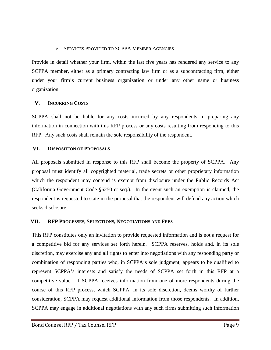# e. SERVICES PROVIDED TO SCPPA MEMBER AGENCIES

Provide in detail whether your firm, within the last five years has rendered any service to any SCPPA member, either as a primary contracting law firm or as a subcontracting firm, either under your firm's current business organization or under any other name or business organization.

# **V. INCURRING COSTS**

SCPPA shall not be liable for any costs incurred by any respondents in preparing any information in connection with this RFP process or any costs resulting from responding to this RFP. Any such costs shall remain the sole responsibility of the respondent.

# **VI. DISPOSITION OF PROPOSALS**

All proposals submitted in response to this RFP shall become the property of SCPPA. Any proposal must identify all copyrighted material, trade secrets or other proprietary information which the respondent may contend is exempt from disclosure under the Public Records Act (California Government Code §6250 et seq.). In the event such an exemption is claimed, the respondent is requested to state in the proposal that the respondent will defend any action which seeks disclosure.

# **VII. RFP PROCESSES, SELECTIONS, NEGOTIATIONS AND FEES**

This RFP constitutes only an invitation to provide requested information and is not a request for a competitive bid for any services set forth herein. SCPPA reserves, holds and, in its sole discretion, may exercise any and all rights to enter into negotiations with any responding party or combination of responding parties who, in SCPPA's sole judgment, appears to be qualified to represent SCPPA's interests and satisfy the needs of SCPPA set forth in this RFP at a competitive value. If SCPPA receives information from one of more respondents during the course of this RFP process, which SCPPA, in its sole discretion, deems worthy of further consideration, SCPPA may request additional information from those respondents. In addition, SCPPA may engage in additional negotiations with any such firms submitting such information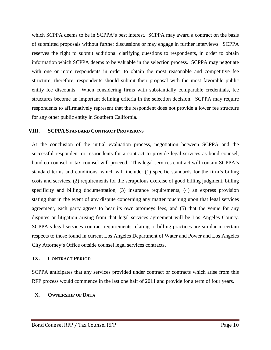which SCPPA deems to be in SCPPA's best interest. SCPPA may award a contract on the basis of submitted proposals without further discussions or may engage in further interviews. SCPPA reserves the right to submit additional clarifying questions to respondents, in order to obtain information which SCPPA deems to be valuable in the selection process. SCPPA may negotiate with one or more respondents in order to obtain the most reasonable and competitive fee structure; therefore, respondents should submit their proposal with the most favorable public entity fee discounts. When considering firms with substantially comparable credentials, fee structures become an important defining criteria in the selection decision. SCPPA may require respondents to affirmatively represent that the respondent does not provide a lower fee structure for any other public entity in Southern California.

#### **VIII. SCPPA STANDARD CONTRACT PROVISIONS**

At the conclusion of the initial evaluation process, negotiation between SCPPA and the successful respondent or respondents for a contract to provide legal services as bond counsel, bond co-counsel or tax counsel will proceed. This legal services contract will contain SCPPA's standard terms and conditions, which will include: (1) specific standards for the firm's billing costs and services, (2) requirements for the scrupulous exercise of good billing judgment, billing specificity and billing documentation, (3) insurance requirements, (4) an express provision stating that in the event of any dispute concerning any matter touching upon that legal services agreement, each party agrees to bear its own attorneys fees, and (5) that the venue for any disputes or litigation arising from that legal services agreement will be Los Angeles County. SCPPA's legal services contract requirements relating to billing practices are similar in certain respects to those found in current Los Angeles Department of Water and Power and Los Angeles City Attorney's Office outside counsel legal services contracts.

# **IX. CONTRACT PERIOD**

SCPPA anticipates that any services provided under contract or contracts which arise from this RFP process would commence in the last one half of 2011 and provide for a term of four years.

# **X. OWNERSHIP OF DATA**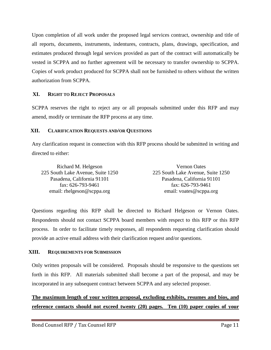Upon completion of all work under the proposed legal services contract, ownership and title of all reports, documents, instruments, indentures, contracts, plans, drawings, specification, and estimates produced through legal services provided as part of the contract will automatically be vested in SCPPA and no further agreement will be necessary to transfer ownership to SCPPA. Copies of work product produced for SCPPA shall not be furnished to others without the written authorization from SCPPA.

# **XI. RIGHT TO REJECT PROPOSALS**

SCPPA reserves the right to reject any or all proposals submitted under this RFP and may amend, modify or terminate the RFP process at any time.

# **XII. CLARIFICATION REQUESTS AND/OR QUESTIONS**

Any clarification request in connection with this RFP process should be submitted in writing and directed to either:

| Richard M. Helgeson               | <b>Vernon Oates</b>               |
|-----------------------------------|-----------------------------------|
| 225 South Lake Avenue, Suite 1250 | 225 South Lake Avenue, Suite 1250 |
| Pasadena, California 91101        | Pasadena, California 91101        |
| fax: $626-793-9461$               | fax: $626-793-9461$               |
| email: rhelgeson@scppa.org        | email: voates@scppa.org           |

Questions regarding this RFP shall be directed to Richard Helgeson or Vernon Oates. Respondents should not contact SCPPA board members with respect to this RFP or this RFP process. In order to facilitate timely responses, all respondents requesting clarification should provide an active email address with their clarification request and/or questions.

# **XIII. REQUIREMENTS FOR SUBMISSION**

Only written proposals will be considered. Proposals should be responsive to the questions set forth in this RFP. All materials submitted shall become a part of the proposal, and may be incorporated in any subsequent contract between SCPPA and any selected proposer.

**The maximum length of your written proposal, excluding exhibits, resumes and bios, and reference contacts should not exceed twenty (20) pages. Ten (10) paper copies of your**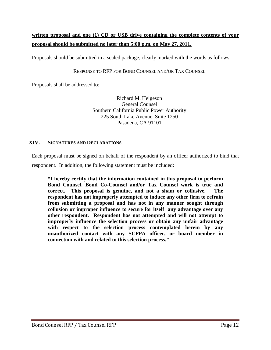# **written proposal and one (1) CD or USB drive containing the complete contents of your proposal should be submitted no later than 5:00 p.m. on May 27, 2011.**

Proposals should be submitted in a sealed package, clearly marked with the words as follows:

#### RESPONSE TO RFP FOR BOND COUNSEL AND/OR TAX COUNSEL

Proposals shall be addressed to:

Richard M. Helgeson General Counsel Southern California Public Power Authority 225 South Lake Avenue, Suite 1250 Pasadena, CA 91101

#### **XIV. SIGNATURES AND DECLARATIONS**

Each proposal must be signed on behalf of the respondent by an officer authorized to bind that respondent. In addition, the following statement must be included:

**"I hereby certify that the information contained in this proposal to perform Bond Counsel, Bond Co-Counsel and/or Tax Counsel work is true and correct. This proposal is genuine, and not a sham or collusive. The respondent has not improperly attempted to induce any other firm to refrain from submitting a proposal and has not in any manner sought through collusion or improper influence to secure for itself any advantage over any other respondent. Respondent has not attempted and will not attempt to improperly influence the selection process or obtain any unfair advantage with respect to the selection process contemplated herein by any unauthorized contact with any SCPPA officer, or board member in connection with and related to this selection process."**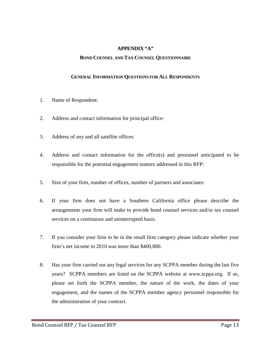# **APPENDIX "A"**

#### **BOND COUNSEL AND TAX COUNSEL QUESTIONNAIRE**

#### **GENERAL INFORMATION QUESTIONS FOR ALL RESPONDENTS**

- 1. Name of Respondent:
- 2. Address and contact information for principal office:
- 3. Address of any and all satellite offices:
- 4. Address and contact information for the office(s) and personnel anticipated to be responsible for the potential engagement matters addressed in this RFP:
- 5. Size of your firm, number of offices, number of partners and associates:
- 6. If your firm does not have a Southern California office please describe the arrangements your firm will make to provide bond counsel services and/or tax counsel services on a continuous and uninterrupted basis.
- 7. If you consider your firm to be in the small firm category please indicate whether your firm's net income in 2010 was more than \$400,000.
- 8. Has your firm carried out any legal services for any SCPPA member during the last five years? SCPPA members are listed on the SCPPA website at www.scppa.org. If so, please set forth the SCPPA member, the nature of the work, the dates of your engagement, and the names of the SCPPA member agency personnel responsible for the administration of your contract.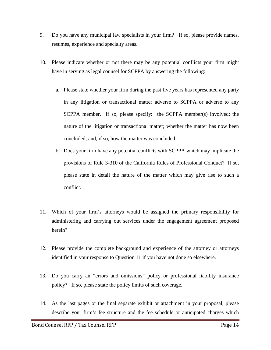- 9. Do you have any municipal law specialists in your firm? If so, please provide names, resumes, experience and specialty areas.
- 10. Please indicate whether or not there may be any potential conflicts your firm might have in serving as legal counsel for SCPPA by answering the following:
	- a. Please state whether your firm during the past five years has represented any party in any litigation or transactional matter adverse to SCPPA or adverse to any SCPPA member. If so, please specify: the SCPPA member(s) involved; the nature of the litigation or transactional matter; whether the matter has now been concluded; and, if so, how the matter was concluded.
	- b. Does your firm have any potential conflicts with SCPPA which may implicate the provisions of Rule 3-310 of the California Rules of Professional Conduct? If so, please state in detail the nature of the matter which may give rise to such a conflict.
- 11. Which of your firm's attorneys would be assigned the primary responsibility for administering and carrying out services under the engagement agreement proposed herein?
- 12. Please provide the complete background and experience of the attorney or attorneys identified in your response to Question 11 if you have not done so elsewhere.
- 13. Do you carry an "errors and omissions" policy or professional liability insurance policy? If so, please state the policy limits of such coverage.
- 14. As the last pages or the final separate exhibit or attachment in your proposal, please describe your firm's fee structure and the fee schedule or anticipated charges which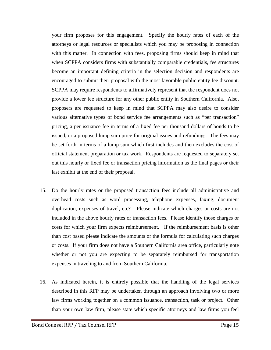your firm proposes for this engagement. Specify the hourly rates of each of the attorneys or legal resources or specialists which you may be proposing in connection with this matter. In connection with fees, proposing firms should keep in mind that when SCPPA considers firms with substantially comparable credentials, fee structures become an important defining criteria in the selection decision and respondents are encouraged to submit their proposal with the most favorable public entity fee discount. SCPPA may require respondents to affirmatively represent that the respondent does not provide a lower fee structure for any other public entity in Southern California. Also, proposers are requested to keep in mind that SCPPA may also desire to consider various alternative types of bond service fee arrangements such as "per transaction" pricing, a per issuance fee in terms of a fixed fee per thousand dollars of bonds to be issued, or a proposed lump sum price for original issues and refundings. The fees may be set forth in terms of a lump sum which first includes and then excludes the cost of official statement preparation or tax work. Respondents are requested to separately set out this hourly or fixed fee or transaction pricing information as the final pages or their last exhibit at the end of their proposal.

- 15. Do the hourly rates or the proposed transaction fees include all administrative and overhead costs such as word processing, telephone expenses, faxing, document duplication, expenses of travel, etc? Please indicate which charges or costs are not included in the above hourly rates or transaction fees. Please identify those charges or costs for which your firm expects reimbursement. If the reimbursement basis is other than cost based please indicate the amounts or the formula for calculating such charges or costs. If your firm does not have a Southern California area office, particularly note whether or not you are expecting to be separately reimbursed for transportation expenses in traveling to and from Southern California.
- 16. As indicated herein, it is entirely possible that the handling of the legal services described in this RFP may be undertaken through an approach involving two or more law firms working together on a common issuance, transaction, task or project. Other than your own law firm, please state which specific attorneys and law firms you feel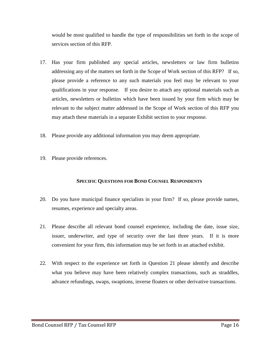would be most qualified to handle the type of responsibilities set forth in the scope of services section of this RFP.

- 17. Has your firm published any special articles, newsletters or law firm bulletins addressing any of the matters set forth in the Scope of Work section of this RFP? If so, please provide a reference to any such materials you feel may be relevant to your qualifications in your response. If you desire to attach any optional materials such as articles, newsletters or bulletins which have been issued by your firm which may be relevant to the subject matter addressed in the Scope of Work section of this RFP you may attach these materials in a separate Exhibit section to your response.
- 18. Please provide any additional information you may deem appropriate.
- 19. Please provide references.

#### **SPECIFIC QUESTIONS FOR BOND COUNSEL RESPONDENTS**

- 20. Do you have municipal finance specialists in your firm? If so, please provide names, resumes, experience and specialty areas.
- 21. Please describe all relevant bond counsel experience, including the date, issue size, issuer, underwriter, and type of security over the last three years. If it is more convenient for your firm, this information may be set forth in an attached exhibit.
- 22. With respect to the experience set forth in Question 21 please identify and describe what you believe may have been relatively complex transactions, such as straddles, advance refundings, swaps, swaptions, inverse floaters or other derivative transactions.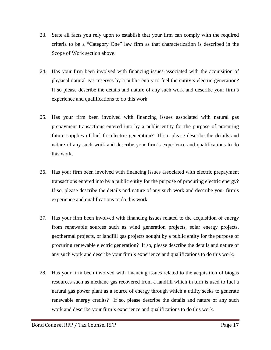- 23. State all facts you rely upon to establish that your firm can comply with the required criteria to be a "Category One" law firm as that characterization is described in the Scope of Work section above.
- 24. Has your firm been involved with financing issues associated with the acquisition of physical natural gas reserves by a public entity to fuel the entity's electric generation? If so please describe the details and nature of any such work and describe your firm's experience and qualifications to do this work.
- 25. Has your firm been involved with financing issues associated with natural gas prepayment transactions entered into by a public entity for the purpose of procuring future supplies of fuel for electric generation? If so, please describe the details and nature of any such work and describe your firm's experience and qualifications to do this work.
- 26. Has your firm been involved with financing issues associated with electric prepayment transactions entered into by a public entity for the purpose of procuring electric energy? If so, please describe the details and nature of any such work and describe your firm's experience and qualifications to do this work.
- 27. Has your firm been involved with financing issues related to the acquisition of energy from renewable sources such as wind generation projects, solar energy projects, geothermal projects, or landfill gas projects sought by a public entity for the purpose of procuring renewable electric generation? If so, please describe the details and nature of any such work and describe your firm's experience and qualifications to do this work.
- 28. Has your firm been involved with financing issues related to the acquisition of biogas resources such as methane gas recovered from a landfill which in turn is used to fuel a natural gas power plant as a source of energy through which a utility seeks to generate renewable energy credits? If so, please describe the details and nature of any such work and describe your firm's experience and qualifications to do this work.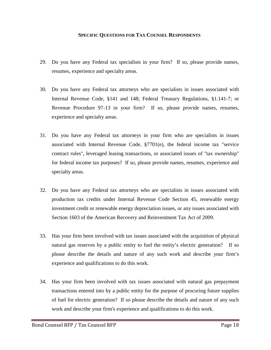#### **SPECIFIC QUESTIONS FOR TAX COUNSEL RESPONDENTS**

- 29. Do you have any Federal tax specialists in your firm? If so, please provide names, resumes, experience and specialty areas.
- 30. Do you have any Federal tax attorneys who are specialists in issues associated with Internal Revenue Code, §141 and 148; Federal Treasury Regulations, §1.141-7; or Revenue Procedure 97-13 in your firm? If so, please provide names, resumes, experience and specialty areas.
- 31. Do you have any Federal tax attorneys in your firm who are specialists in issues associated with Internal Revenue Code,  $\S7701(e)$ , the federal income tax "service" contract rules", leveraged leasing transactions, or associated issues of "tax ownership" for federal income tax purposes? If so, please provide names, resumes, experience and specialty areas.
- 32. Do you have any Federal tax attorneys who are specialists in issues associated with production tax credits under Internal Revenue Code Section 45, renewable energy investment credit or renewable energy depreciation issues, or any issues associated with Section 1603 of the American Recovery and Reinvestment Tax Act of 2009.
- 33. Has your firm been involved with tax issues associated with the acquisition of physical natural gas reserves by a public entity to fuel the entity's electric generation? If so please describe the details and nature of any such work and describe your firm's experience and qualifications to do this work.
- 34. Has your firm been involved with tax issues associated with natural gas prepayment transactions entered into by a public entity for the purpose of procuring future supplies of fuel for electric generation? If so please describe the details and nature of any such work and describe your firm's experience and qualifications to do this work.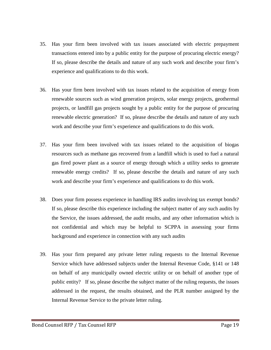- 35. Has your firm been involved with tax issues associated with electric prepayment transactions entered into by a public entity for the purpose of procuring electric energy? If so, please describe the details and nature of any such work and describe your firm's experience and qualifications to do this work.
- 36. Has your firm been involved with tax issues related to the acquisition of energy from renewable sources such as wind generation projects, solar energy projects, geothermal projects, or landfill gas projects sought by a public entity for the purpose of procuring renewable electric generation? If so, please describe the details and nature of any such work and describe your firm's experience and qualifications to do this work.
- 37. Has your firm been involved with tax issues related to the acquisition of biogas resources such as methane gas recovered from a landfill which is used to fuel a natural gas fired power plant as a source of energy through which a utility seeks to generate renewable energy credits? If so, please describe the details and nature of any such work and describe your firm's experience and qualifications to do this work.
- 38. Does your firm possess experience in handling IRS audits involving tax exempt bonds? If so, please describe this experience including the subject matter of any such audits by the Service, the issues addressed, the audit results, and any other information which is not confidential and which may be helpful to SCPPA in assessing your firms background and experience in connection with any such audits
- 39. Has your firm prepared any private letter ruling requests to the Internal Revenue Service which have addressed subjects under the Internal Revenue Code, §141 or 148 on behalf of any municipally owned electric utility or on behalf of another type of public entity? If so, please describe the subject matter of the ruling requests, the issues addressed in the request, the results obtained, and the PLR number assigned by the Internal Revenue Service to the private letter ruling.